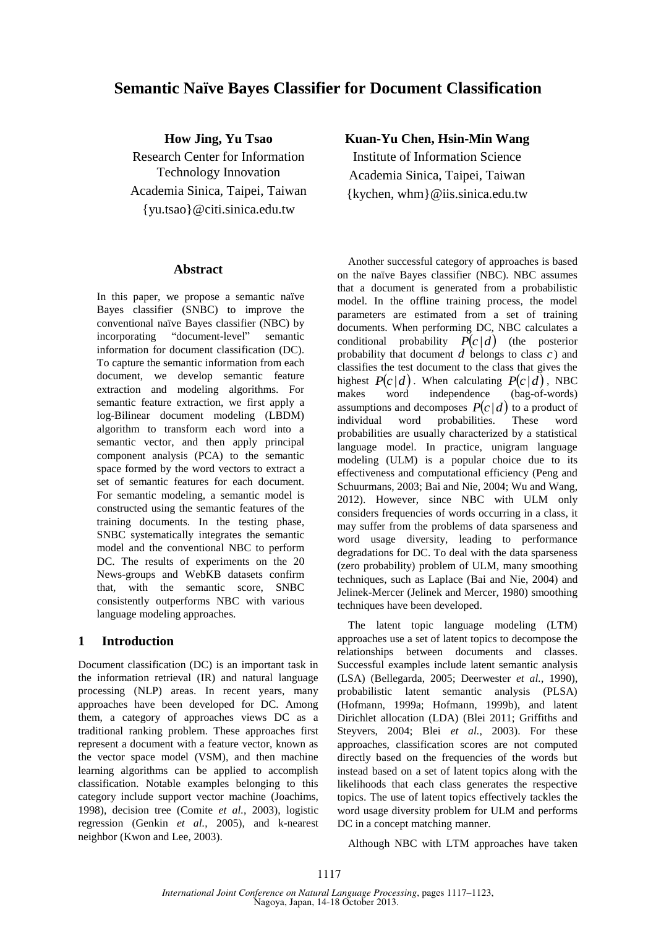# **Semantic Naïve Bayes Classifier for Document Classification**

**How Jing, Yu Tsao** Research Center for Information Technology Innovation Academia Sinica, Taipei, Taiwan {yu.tsao}@citi.sinica.edu.tw

### **Abstract**

In this paper, we propose a semantic naïve Bayes classifier (SNBC) to improve the conventional naïve Bayes classifier (NBC) by incorporating "document-level" semantic information for document classification (DC). To capture the semantic information from each document, we develop semantic feature extraction and modeling algorithms. For semantic feature extraction, we first apply a log-Bilinear document modeling (LBDM) algorithm to transform each word into a semantic vector, and then apply principal component analysis (PCA) to the semantic space formed by the word vectors to extract a set of semantic features for each document. For semantic modeling, a semantic model is constructed using the semantic features of the training documents. In the testing phase, SNBC systematically integrates the semantic model and the conventional NBC to perform DC. The results of experiments on the 20 News-groups and WebKB datasets confirm that, with the semantic score, SNBC consistently outperforms NBC with various language modeling approaches.

## **1 Introduction**

Document classification (DC) is an important task in the information retrieval (IR) and natural language processing (NLP) areas. In recent years, many approaches have been developed for DC. Among them, a category of approaches views DC as a traditional ranking problem. These approaches first represent a document with a feature vector, known as the vector space model (VSM), and then machine learning algorithms can be applied to accomplish classification. Notable examples belonging to this category include support vector machine (Joachims, 1998), decision tree (Comite *et al.*, 2003), logistic regression (Genkin *et al.*, 2005), and k-nearest neighbor (Kwon and Lee, 2003).

### **Kuan-Yu Chen, Hsin-Min Wang**

Institute of Information Science Academia Sinica, Taipei, Taiwan {kychen, whm}@iis.sinica.edu.tw

Another successful category of approaches is based on the naïve Bayes classifier (NBC). NBC assumes that a document is generated from a probabilistic model. In the offline training process, the model parameters are estimated from a set of training documents. When performing DC, NBC calculates a conditional probability  $P(c|d)$  (the posterior probability that document  $d$  belongs to class  $c$ ) and classifies the test document to the class that gives the highest  $P(c|d)$ . When calculating  $P(c|d)$ , NBC makes word independence (bag-of-words) assumptions and decomposes  $P(c|d)$  to a product of individual word probabilities. These word probabilities are usually characterized by a statistical language model. In practice, unigram language modeling (ULM) is a popular choice due to its effectiveness and computational efficiency (Peng and Schuurmans, 2003; Bai and Nie, 2004; Wu and Wang, 2012). However, since NBC with ULM only considers frequencies of words occurring in a class, it may suffer from the problems of data sparseness and word usage diversity, leading to performance degradations for DC. To deal with the data sparseness (zero probability) problem of ULM, many smoothing techniques, such as Laplace (Bai and Nie, 2004) and Jelinek-Mercer (Jelinek and Mercer, 1980) smoothing techniques have been developed.

The latent topic language modeling (LTM) approaches use a set of latent topics to decompose the relationships between documents and classes. Successful examples include latent semantic analysis (LSA) (Bellegarda, 2005; Deerwester *et al.*, 1990), probabilistic latent semantic analysis (PLSA) (Hofmann, 1999a; Hofmann, 1999b), and latent Dirichlet allocation (LDA) (Blei 2011; Griffiths and Steyvers, 2004; Blei *et al.*, 2003). For these approaches, classification scores are not computed directly based on the frequencies of the words but instead based on a set of latent topics along with the likelihoods that each class generates the respective topics. The use of latent topics effectively tackles the word usage diversity problem for ULM and performs DC in a concept matching manner.

Although NBC with LTM approaches have taken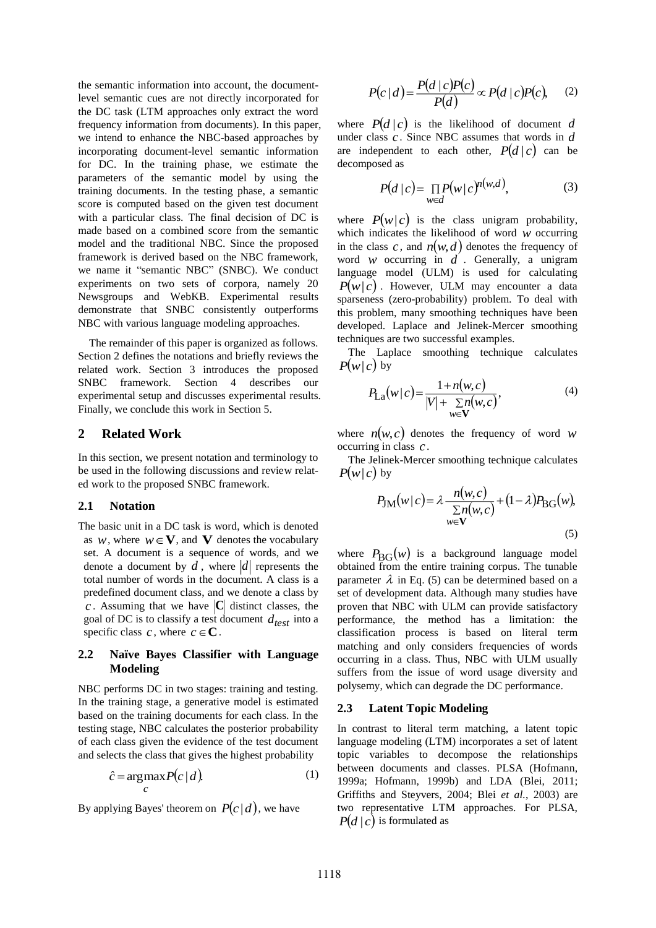the semantic information into account, the documentlevel semantic cues are not directly incorporated for the DC task (LTM approaches only extract the word frequency information from documents). In this paper, we intend to enhance the NBC-based approaches by incorporating document-level semantic information for DC. In the training phase, we estimate the parameters of the semantic model by using the training documents. In the testing phase, a semantic score is computed based on the given test document with a particular class. The final decision of DC is made based on a combined score from the semantic model and the traditional NBC. Since the proposed framework is derived based on the NBC framework, we name it "semantic NBC" (SNBC). We conduct experiments on two sets of corpora, namely 20 Newsgroups and WebKB. Experimental results demonstrate that SNBC consistently outperforms NBC with various language modeling approaches.

The remainder of this paper is organized as follows. Section 2 defines the notations and briefly reviews the related work. Section 3 introduces the proposed SNBC framework. Section 4 describes our experimental setup and discusses experimental results. Finally, we conclude this work in Section 5.

### **2 Related Work**

In this section, we present notation and terminology to be used in the following discussions and review related work to the proposed SNBC framework.

#### **2.1 Notation**

The basic unit in a DC task is word, which is denoted as *w*, where  $w \in V$ , and **V** denotes the vocabulary set. A document is a sequence of words, and we denote a document by  $d$ , where  $|d|$  represents the total number of words in the document. A class is a predefined document class, and we denote a class by *c*. Assuming that we have  $|C|$  distinct classes, the goal of DC is to classify a test document *dtest* into a specific class c, where  $c \in \mathbb{C}$ .

### **2.2 Naïve Bayes Classifier with Language Modeling**

NBC performs DC in two stages: training and testing. In the training stage, a generative model is estimated based on the training documents for each class. In the testing stage, NBC calculates the posterior probability of each class given the evidence of the test document and selects the class that gives the highest probability

$$
\hat{c} = \underset{c}{\operatorname{argmax}} P(c \mid d). \tag{1}
$$

By applying Bayes' theorem on  $P(c|d)$ , we have

$$
P(c|d) = \frac{P(d|c)P(c)}{P(d)} \propto P(d|c)P(c), \quad (2)
$$

where  $P(d | c)$  is the likelihood of document d under class *c* . Since NBC assumes that words in *d* are independent to each other,  $P(d | c)$  can be decomposed as

$$
P(d \mid c) = \prod_{w \in d} P(w \mid c)^{n(w,d)},\tag{3}
$$

where  $P(w|c)$  is the class unigram probability, which indicates the likelihood of word  $w$  occurring in the class c, and  $n(w,d)$  denotes the frequency of word  $w$  occurring in  $d$ . Generally, a unigram language model (ULM) is used for calculating  $P(w|c)$ . However, ULM may encounter a data sparseness (zero-probability) problem. To deal with this problem, many smoothing techniques have been developed. Laplace and Jelinek-Mercer smoothing techniques are two successful examples.

The Laplace smoothing technique calculates  $P(w|c)$  by

$$
P_{\text{La}}(w|c) = \frac{1 + n(w, c)}{|V| + \sum_{w \in V} n(w, c)},
$$
\n(4)

where  $n(w, c)$  denotes the frequency of word w occurring in class *<sup>c</sup>* .

The Jelinek-Mercer smoothing technique calculates  $P(w|c)$  by

$$
P_{\text{JM}}(w|c) = \lambda \frac{n(w,c)}{\sum\limits_{w \in \mathbf{V}} n(w,c)} + (1 - \lambda) P_{\text{BG}}(w),
$$
\n(5)

where  $P_{\text{BG}}(w)$  is a background language model obtained from the entire training corpus. The tunable parameter  $\lambda$  in Eq. (5) can be determined based on a set of development data. Although many studies have proven that NBC with ULM can provide satisfactory performance, the method has a limitation: the classification process is based on literal term matching and only considers frequencies of words occurring in a class. Thus, NBC with ULM usually suffers from the issue of word usage diversity and polysemy, which can degrade the DC performance.

### **2.3 Latent Topic Modeling**

In contrast to literal term matching, a latent topic language modeling (LTM) incorporates a set of latent topic variables to decompose the relationships between documents and classes. PLSA (Hofmann, 1999a; Hofmann, 1999b) and LDA (Blei, 2011; Griffiths and Steyvers, 2004; Blei *et al.*, 2003) are two representative LTM approaches. For PLSA,  $P(d \mid c)$  is formulated as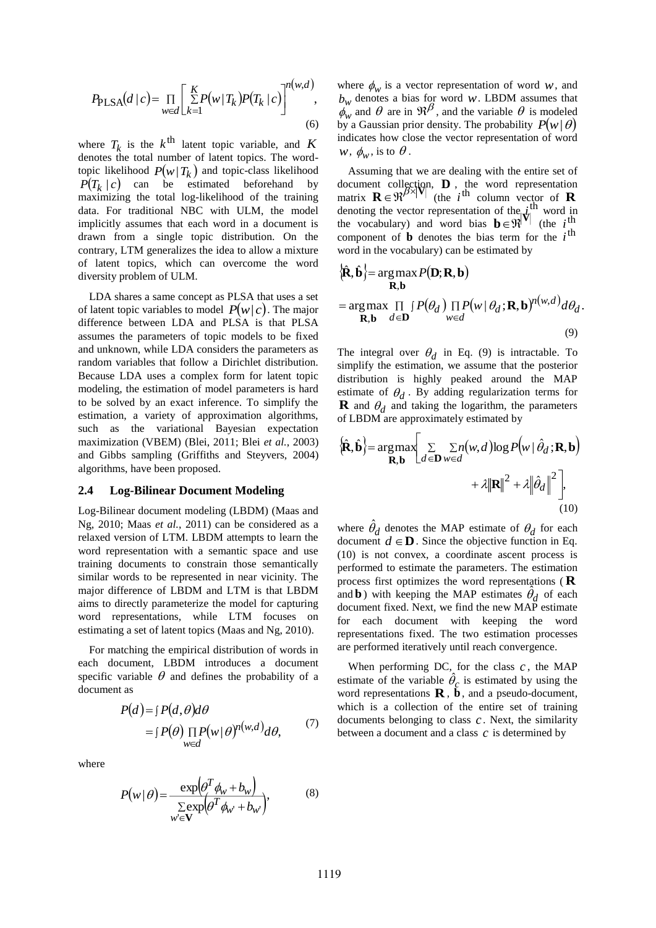$$
P_{\text{PLSA}}(d|c) = \prod_{w \in d} \left[ \sum_{k=1}^{K} P(w|T_k) P(T_k|c) \right]^{n(w,d)},\tag{6}
$$

where  $T_k$  is the  $k^{\text{th}}$  latent topic variable, and  $K$ denotes the total number of latent topics. The wordtopic likelihood  $P(w | T_k)$  and topic-class likelihood |  $P(T_k | c)$  can be estimated beforehand by maximizing the total log-likelihood of the training data. For traditional NBC with ULM, the model implicitly assumes that each word in a document is drawn from a single topic distribution. On the contrary, LTM generalizes the idea to allow a mixture of latent topics, which can overcome the word diversity problem of ULM.

LDA shares a same concept as PLSA that uses a set of latent topic variables to model  $P(w|c)$ . The major difference between LDA and PLSA is that PLSA assumes the parameters of topic models to be fixed and unknown, while LDA considers the parameters as random variables that follow a Dirichlet distribution. Because LDA uses a complex form for latent topic modeling, the estimation of model parameters is hard to be solved by an exact inference. To simplify the estimation, a variety of approximation algorithms, such as the variational Bayesian expectation maximization (VBEM) (Blei, 2011; Blei *et al.*, 2003) and Gibbs sampling (Griffiths and Steyvers, 2004) algorithms, have been proposed.

#### **2.4 Log-Bilinear Document Modeling**

Log-Bilinear document modeling (LBDM) (Maas and Ng, 2010; Maas *et al.*, 2011) can be considered as a relaxed version of LTM. LBDM attempts to learn the word representation with a semantic space and use training documents to constrain those semantically similar words to be represented in near vicinity. The major difference of LBDM and LTM is that LBDM aims to directly parameterize the model for capturing word representations, while LTM focuses on estimating a set of latent topics (Maas and Ng, 2010).

For matching the empirical distribution of words in each document, LBDM introduces a document specific variable  $\theta$  and defines the probability of a document as

$$
P(d) = \int P(d, \theta) d\theta
$$
  
= 
$$
\int P(\theta) \prod_{w \in d} P(w | \theta)^{n(w,d)} d\theta,
$$
 (7)

where

$$
P(w | \theta) = \frac{\exp(\theta^T \phi_w + b_w)}{\sum_{w' \in \mathbf{V}} \exp(\theta^T \phi_{w'} + b_{w'})},
$$
(8)

where  $\phi_w$  is a vector representation of word *w*, and  $b_w$  denotes a bias for word *w*. LBDM assumes that  $\phi_w^{\prime\prime}$  and  $\theta$  are in  $\mathfrak{R}^{\beta}$ , and the variable  $\theta$  is modeled by a Gaussian prior density. The probability  $P(w | \theta)$ indicates how close the vector representation of word  $w, \, \phi_w^{\vphantom{\dagger}}$  , is to  $\theta$  .

Assuming that we are dealing with the entire set of document collection,  $\mathbf{D}$ , the word representation matrix  $\mathbf{R} \in \mathbb{R}^{\beta \times |\mathbf{V}|}$  (the *i*<sup>th</sup> column vector of **R** denoting the vector representation of the  $\vec{r}$ <sup>th</sup> word in the vocabulary) and word bias  $\mathbf{b} \in \mathbb{R}^{\vert V \vert}$  (the *i*<sup>th</sup>) component of  $\bf{b}$  denotes the bias term for the  $i^{\text{th}}$ word in the vocabulary) can be estimated by

$$
\{\hat{\mathbf{R}}, \hat{\mathbf{b}}\} = \arg \max_{\mathbf{R}, \mathbf{b}} P(\mathbf{D}; \mathbf{R}, \mathbf{b})
$$
  
= 
$$
\arg \max_{\mathbf{R}, \mathbf{b}} \prod_{d \in \mathbf{D}} \left[ P(\theta_d) \prod_{w \in d} P(w | \theta_d; \mathbf{R}, \mathbf{b})^{n(w,d)} d\theta_d.
$$
  
(9)

The integral over  $\theta_d$  in Eq. (9) is intractable. To simplify the estimation, we assume that the posterior distribution is highly peaked around the MAP estimate of  $\theta_d$ . By adding regularization terms for **R** and  $\theta_d$  and taking the logarithm, the parameters of LBDM are approximately estimated by

$$
\{\hat{\mathbf{R}}, \hat{\mathbf{b}}\} = \underset{\mathbf{R}, \mathbf{b}}{\arg \max} \Bigg[ \sum_{d \in \mathbf{D}} \sum_{w \in d} n(w, d) \log P(w | \hat{\theta}_d; \mathbf{R}, \mathbf{b}) + \lambda ||\mathbf{R}||^2 + \lambda ||\hat{\theta}_d||^2 \Bigg],
$$
\n(10)

where  $\hat{\theta}_d$  denotes the MAP estimate of  $\theta_d$  for each document  $d \in \mathbf{D}$ . Since the objective function in Eq. (10) is not convex, a coordinate ascent process is performed to estimate the parameters. The estimation process first optimizes the word representations ( **R** and **b**) with keeping the MAP estimates  $\theta_d$  of each ˆdocument fixed. Next, we find the new MAP estimate for each document with keeping the word representations fixed. The two estimation processes are performed iteratively until reach convergence.

When performing DC, for the class  $c$ , the MAP estimate of the variable  $\theta_c$  is estimated by using the word representations  $\mathbf{R}$ ,  $\mathbf{b}$ , and a pseudo-document, which is a collection of the entire set of training documents belonging to class  $c$ . Next, the similarity between a document and a class  $c$  is determined by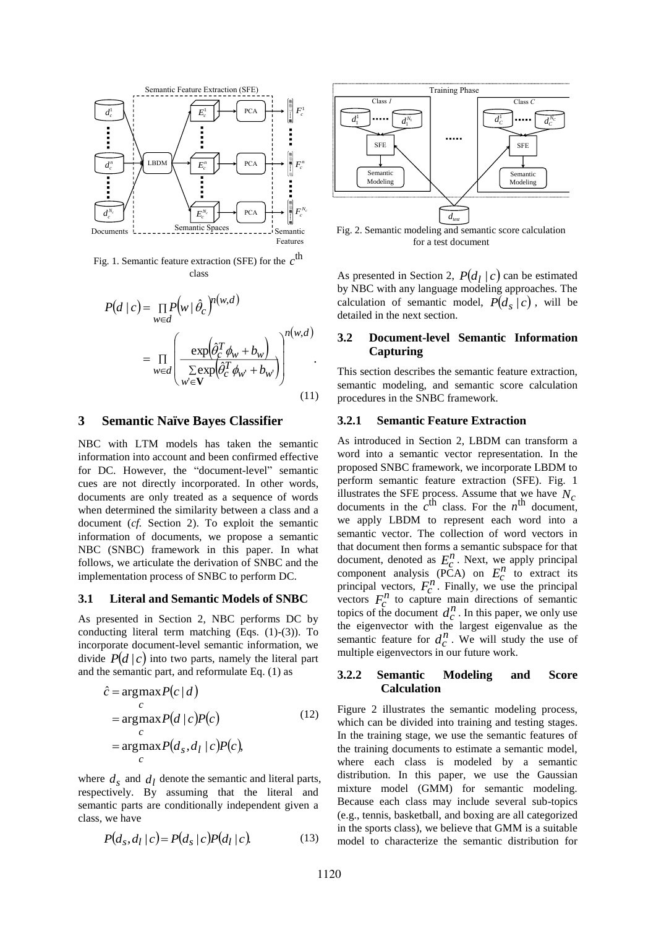

Fig. 1. Semantic feature extraction (SFE) for the  $c^{\text{th}}$ class

$$
P(d \mid c) = \prod_{w \in d} P(w \mid \hat{\theta}_c)^{n(w,d)}
$$
  
= 
$$
\prod_{w \in d} \left( \frac{\exp(\hat{\theta}_c^T \phi_w + b_w)}{\sum_{w' \in \mathbf{V}} \exp(\hat{\theta}_c^T \phi_{w'} + b_w)} \right)^{n(w,d)}
$$
 (11)

#### **3 Semantic Naïve Bayes Classifier**

NBC with LTM models has taken the semantic information into account and been confirmed effective for DC. However, the "document-level" semantic cues are not directly incorporated. In other words, documents are only treated as a sequence of words when determined the similarity between a class and a document (*cf.* Section 2). To exploit the semantic information of documents, we propose a semantic NBC (SNBC) framework in this paper. In what follows, we articulate the derivation of SNBC and the implementation process of SNBC to perform DC.

#### **3.1 Literal and Semantic Models of SNBC**

As presented in Section 2, NBC performs DC by conducting literal term matching (Eqs. (1)-(3)). To incorporate document-level semantic information, we divide  $P(d \mid c)$  into two parts, namely the literal part and the semantic part, and reformulate Eq. (1) as

$$
\hat{c} = \underset{c}{\arg \max} P(c | d)
$$
\n
$$
= \underset{c}{\arg \max} P(d | c) P(c)
$$
\n
$$
= \underset{c}{\arg \max} P(d_s, d_l | c) P(c),
$$
\n(12)

where  $d_s$  and  $d_l$  denote the semantic and literal parts, respectively. By assuming that the literal and semantic parts are conditionally independent given a class, we have

$$
P(d_s, d_l \mid c) = P(d_s \mid c) P(d_l \mid c) \tag{13}
$$



Fig. 2. Semantic modeling and semantic score calculation for a test document

As presented in Section 2,  $P(d_l | c)$  can be estimated by NBC with any language modeling approaches. The calculation of semantic model,  $P(d_s | c)$ , will be detailed in the next section.

### **3.2 Document-level Semantic Information Capturing**

This section describes the semantic feature extraction, semantic modeling, and semantic score calculation procedures in the SNBC framework.

#### **3.2.1 Semantic Feature Extraction**

As introduced in Section 2, LBDM can transform a word into a semantic vector representation. In the proposed SNBC framework, we incorporate LBDM to perform semantic feature extraction (SFE). Fig. 1 illustrates the SFE process. Assume that we have  $N_c$ documents in the  $c^{\text{th}}$  class. For the  $n^{\text{th}}$  document, we apply LBDM to represent each word into a semantic vector. The collection of word vectors in that document then forms a semantic subspace for that document, denoted as  $E_c^n$ . Next, we apply principal component analysis (PCA) on  $E_c^n$  to extract its principal vectors,  $F_c^n$ . Finally, we use the principal vectors  $F_c^n$  to capture main directions of semantic topics of the document  $d_c^n$ . In this paper, we only use the eigenvector with the largest eigenvalue as the semantic feature for  $d_c^n$ . We will study the use of multiple eigenvectors in our future work.

### **3.2.2 Semantic Modeling and Score Calculation**

Figure 2 illustrates the semantic modeling process, which can be divided into training and testing stages. In the training stage, we use the semantic features of the training documents to estimate a semantic model, where each class is modeled by a semantic distribution. In this paper, we use the Gaussian mixture model (GMM) for semantic modeling. Because each class may include several sub-topics (e.g., tennis, basketball, and boxing are all categorized in the sports class), we believe that GMM is a suitable model to characterize the semantic distribution for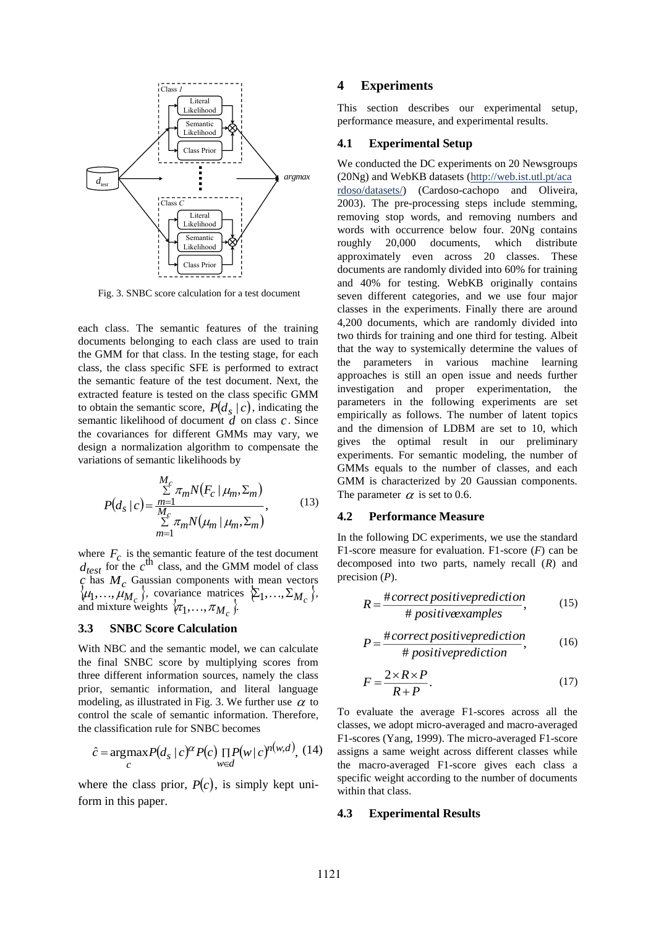

Fig. 3. SNBC score calculation for a test document

each class. The semantic features of the training documents belonging to each class are used to train the GMM for that class. In the testing stage, for each class, the class specific SFE is performed to extract the semantic feature of the test document. Next, the extracted feature is tested on the class specific GMM to obtain the semantic score,  $P(d_s | c)$ , indicating the semantic likelihood of document *d* on class *<sup>c</sup>*. Since the covariances for different GMMs may vary, we design a normalization algorithm to compensate the variations of semantic likelihoods by

$$
P(d_s \mid c) = \frac{\sum\limits_{m=1}^{M_c} \pi_m N(F_c \mid \mu_m, \Sigma_m)}{\sum\limits_{m=1}^{M_c} \pi_m N(\mu_m \mid \mu_m, \Sigma_m)},
$$
(13)

where  $F_c$  is the semantic feature of the test document  $d_{test}$  for the  $c^{\text{th}}$  class, and the GMM model of class *c* has  $M_c$  Gaussian components with mean vectors  $\{\mu_1, ..., \mu_{M_c}\}$ , covariance matrices  $\{\Sigma_1, ..., \Sigma_{M_c}\}$ ,  $\mu_1, ..., \mu_{M_c}$ , covariance matrices<br>and mixture weights  $\left\{\pi_1, ..., \pi_{M_c}\right\}$ .

### **3.3 SNBC Score Calculation**

With NBC and the semantic model, we can calculate the final SNBC score by multiplying scores from three different information sources, namely the class prior, semantic information, and literal language modeling, as illustrated in Fig. 3. We further use  $\alpha$  to control the scale of semantic information. Therefore, the classification rule for SNBC becomes

$$
\hat{c} = \underset{c}{\arg\max} P(d_s \mid c)^{\alpha} P(c) \underset{w \in d}{\prod} P(w \mid c)^{n(w,d)}, \ (14)
$$

where the class prior,  $P(c)$ , is simply kept uniform in this paper.

### **4 Experiments**

This section describes our experimental setup, performance measure, and experimental results.

#### **4.1 Experimental Setup**

We conducted the DC experiments on 20 Newsgroups *d*<sub>test</sub>  $\longleftrightarrow$  **a**  $\longrightarrow$  *argmax* (20Ng) and WebKB datasets (http://web.ist.utl.pt/aca rdoso/datasets/) (Cardoso-cachopo and Oliveira, 2003). The pre-processing steps include stemming, removing stop words, and removing numbers and words with occurrence below four. 20Ng contains roughly 20,000 documents, which distribute approximately even across 20 classes. These documents are randomly divided into 60% for training and 40% for testing. WebKB originally contains seven different categories, and we use four major classes in the experiments. Finally there are around 4,200 documents, which are randomly divided into two thirds for training and one third for testing. Albeit that the way to systemically determine the values of the parameters in various machine learning approaches is still an open issue and needs further investigation and proper experimentation, the parameters in the following experiments are set empirically as follows. The number of latent topics and the dimension of LDBM are set to 10, which gives the optimal result in our preliminary experiments. For semantic modeling, the number of GMMs equals to the number of classes, and each GMM is characterized by 20 Gaussian components. The parameter  $\alpha$  is set to 0.6.

#### **4.2 Performance Measure**

In the following DC experiments, we use the standard F1-score measure for evaluation. F1-score (*F*) can be decomposed into two parts, namely recall (*R*) and precision (*P*).

$$
R = \frac{\text{\#correct positive prediction}}{\text{\# positive examples}},\tag{15}
$$

$$
P = \frac{\text{#correct positive prediction}}{\text{# positive prediction}},\tag{16}
$$

$$
F = \frac{2 \times R \times P}{R + P}.\tag{17}
$$

To evaluate the average F1-scores across all the classes, we adopt micro-averaged and macro-averaged F1-scores (Yang, 1999). The micro-averaged F1-score assigns a same weight across different classes while the macro-averaged F1-score gives each class a specific weight according to the number of documents within that class.

#### **4.3 Experimental Results**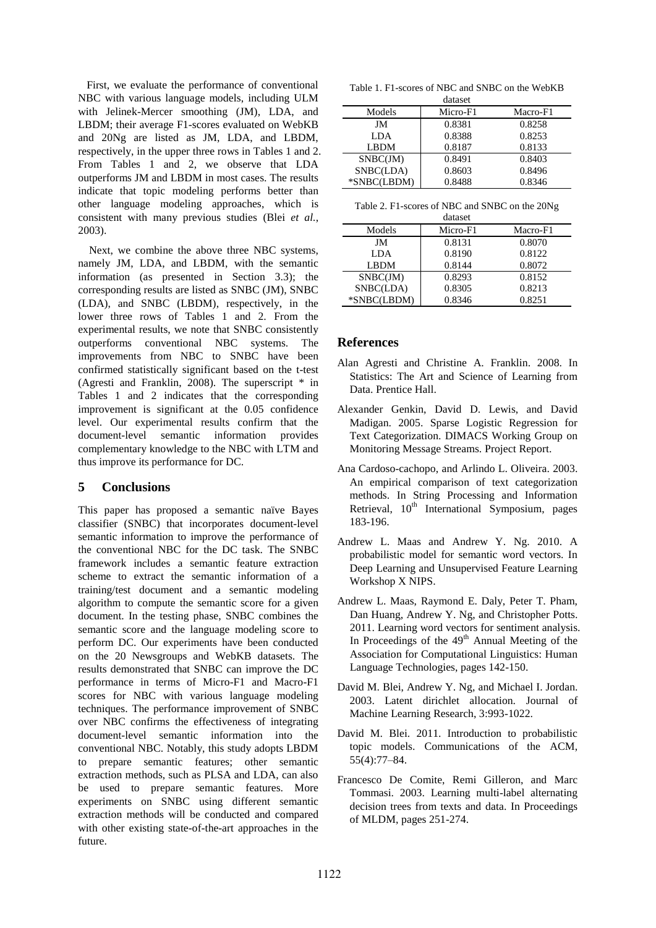First, we evaluate the performance of conventional NBC with various language models, including ULM with Jelinek-Mercer smoothing (JM), LDA, and LBDM; their average F1-scores evaluated on WebKB and 20Ng are listed as JM, LDA, and LBDM, respectively, in the upper three rows in Tables 1 and 2. From Tables 1 and 2, we observe that LDA outperforms JM and LBDM in most cases. The results indicate that topic modeling performs better than other language modeling approaches, which is consistent with many previous studies (Blei *et al.*, 2003).

Next, we combine the above three NBC systems, namely JM, LDA, and LBDM, with the semantic information (as presented in Section 3.3); the corresponding results are listed as SNBC (JM), SNBC (LDA), and SNBC (LBDM), respectively, in the lower three rows of Tables 1 and 2. From the experimental results, we note that SNBC consistently outperforms conventional NBC systems. The improvements from NBC to SNBC have been confirmed statistically significant based on the t-test (Agresti and Franklin, 2008). The superscript \* in Tables 1 and 2 indicates that the corresponding improvement is significant at the 0.05 confidence level. Our experimental results confirm that the document-level semantic information provides complementary knowledge to the NBC with LTM and thus improve its performance for DC.

# **5 Conclusions**

This paper has proposed a semantic naïve Bayes classifier (SNBC) that incorporates document-level semantic information to improve the performance of the conventional NBC for the DC task. The SNBC framework includes a semantic feature extraction scheme to extract the semantic information of a training/test document and a semantic modeling algorithm to compute the semantic score for a given document. In the testing phase, SNBC combines the semantic score and the language modeling score to perform DC. Our experiments have been conducted on the 20 Newsgroups and WebKB datasets. The results demonstrated that SNBC can improve the DC performance in terms of Micro-F1 and Macro-F1 scores for NBC with various language modeling techniques. The performance improvement of SNBC over NBC confirms the effectiveness of integrating document-level semantic information into the conventional NBC. Notably, this study adopts LBDM to prepare semantic features; other semantic extraction methods, such as PLSA and LDA, can also be used to prepare semantic features. More experiments on SNBC using different semantic extraction methods will be conducted and compared with other existing state-of-the-art approaches in the future.

| Table 1. F1-scores of NBC and SNBC on the WebKB |
|-------------------------------------------------|
| dataset                                         |

|             | uaiasci  |          |
|-------------|----------|----------|
| Models      | Micro-F1 | Macro-F1 |
| JM          | 0.8381   | 0.8258   |
| LDA         | 0.8388   | 0.8253   |
| <b>LBDM</b> | 0.8187   | 0.8133   |
| SNBC(JM)    | 0.8491   | 0.8403   |
| SNBC(LDA)   | 0.8603   | 0.8496   |
| *SNBC(LBDM) | 0.8488   | 0.8346   |

|  | Table 2. F1-scores of NBC and SNBC on the 20Ng |  |
|--|------------------------------------------------|--|
|  |                                                |  |

| dataset     |          |          |  |  |
|-------------|----------|----------|--|--|
| Models      | Micro-F1 | Macro-F1 |  |  |
| JM          | 0.8131   | 0.8070   |  |  |
| LDA         | 0.8190   | 0.8122   |  |  |
| <b>LBDM</b> | 0.8144   | 0.8072   |  |  |
| SNBC(JM)    | 0.8293   | 0.8152   |  |  |
| SNBC(LDA)   | 0.8305   | 0.8213   |  |  |
| *SNBC(LBDM) | 0.8346   | 0.8251   |  |  |

# **References**

- Alan Agresti and Christine A. Franklin. 2008. In Statistics: The Art and Science of Learning from Data. Prentice Hall.
- Alexander Genkin, David D. Lewis, and David Madigan. 2005. Sparse Logistic Regression for Text Categorization. DIMACS Working Group on Monitoring Message Streams. Project Report.
- Ana Cardoso-cachopo, and Arlindo L. Oliveira. 2003. An empirical comparison of text categorization methods. In String Processing and Information Retrieval, 10<sup>th</sup> International Symposium, pages 183-196.
- Andrew L. Maas and Andrew Y. Ng. 2010. A probabilistic model for semantic word vectors. In Deep Learning and Unsupervised Feature Learning Workshop X NIPS.
- Andrew L. Maas, Raymond E. Daly, Peter T. Pham, Dan Huang, Andrew Y. Ng, and Christopher Potts. 2011. Learning word vectors for sentiment analysis. In Proceedings of the  $49<sup>th</sup>$  Annual Meeting of the Association for Computational Linguistics: Human Language Technologies, pages 142-150.
- David M. Blei, Andrew Y. Ng, and Michael I. Jordan. 2003. Latent dirichlet allocation. Journal of Machine Learning Research, 3:993-1022.
- David M. Blei. 2011. Introduction to probabilistic topic models. Communications of the ACM, 55(4):77–84.
- Francesco De Comite, Remi Gilleron, and Marc Tommasi. 2003. Learning multi-label alternating decision trees from texts and data. In Proceedings of MLDM, pages 251-274.